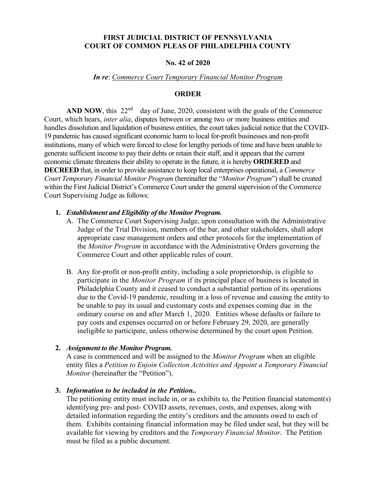## **FIRST JUDICIAL DISTRICT OF PENNSYLVANIA COURT OF COMMON PLEAS OF PHILADELPHIA COUNTY**

## **No. 42 of 2020**

### *In re*: *Commerce Court Temporary Financial Monitor Program*

## **ORDER**

**AND NOW**, this  $22<sup>nd</sup>$  day of June, 2020, consistent with the goals of the Commerce Court, which hears, *inter alia*, disputes between or among two or more business entities and handles dissolution and liquidation of business entities, the court takes judicial notice that the COVID-19 pandemic has caused significant economic harm to local for-profit businesses and non-profit institutions, many of which were forced to close for lengthy periods of time and have been unable to generate sufficient income to pay their debts or retain their staff, and it appears that the current economic climate threatens their ability to operate in the future, it is hereby **ORDERED** and **DECREED** that, in order to provide assistance to keep local enterprises operational, a *Commerce Court Temporary Financial Monitor Program* (hereinafter the "*Monitor Program*") shall be created within the First Judicial District's Commerce Court under the general supervision of the Commerce Court Supervising Judge as follows:

### **1.** *Establishment and Eligibility of the Monitor Program.*

- A. The Commerce Court Supervising Judge, upon consultation with the Administrative Judge of the Trial Division, members of the bar, and other stakeholders, shall adopt appropriate case management orders and other protocols for the implementation of the *Monitor Program* in accordance with the Administrative Orders governing the Commerce Court and other applicable rules of court.
- B. Any for-profit or non-profit entity, including a sole proprietorship, is eligible to participate in the *Monitor Program* if its principal place of business is located in Philadelphia County and it ceased to conduct a substantial portion of its operations due to the Covid-19 pandemic, resulting in a loss of revenue and causing the entity to be unable to pay its usual and customary costs and expenses coming due in the ordinary course on and after March 1, 2020. Entities whose defaults or failure to pay costs and expenses occurred on or before February 29, 2020, are generally ineligible to participate, unless otherwise determined by the court upon Petition.

## **2.** *Assignment to the Monitor Program.*

A case is commenced and will be assigned to the *Monitor Program* when an eligible entity files a *Petition to Enjoin Collection Activities and Appoint a Temporary Financial Monitor* (hereinafter the "Petition").

#### **3.** *Information to be included in the Petition..*

The petitioning entity must include in, or as exhibits to, the Petition financial statement(s) identifying pre- and post- COVID assets, revenues, costs, and expenses, along with detailed information regarding the entity's creditors and the amounts owed to each of them. Exhibits containing financial information may be filed under seal, but they will be available for viewing by creditors and the *Temporary Financial Monitor*. The Petition must be filed as a public document.